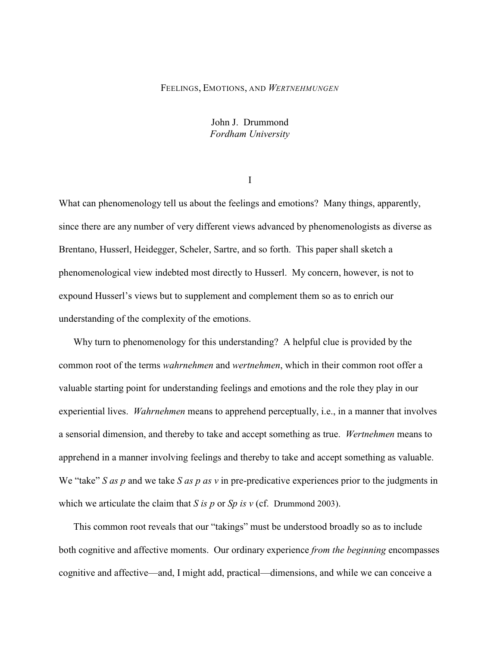# FEELINGS, EMOTIONS, AND *WERTNEHMUNGEN*

John J. Drummond *Fordham University*

I

What can phenomenology tell us about the feelings and emotions? Many things, apparently, since there are any number of very different views advanced by phenomenologists as diverse as Brentano, Husserl, Heidegger, Scheler, Sartre, and so forth. This paper shall sketch a phenomenological view indebted most directly to Husserl. My concern, however, is not to expound Husserl's views but to supplement and complement them so as to enrich our understanding of the complexity of the emotions.

Why turn to phenomenology for this understanding? A helpful clue is provided by the common root of the terms *wahrnehmen* and *wertnehmen*, which in their common root offer a valuable starting point for understanding feelings and emotions and the role they play in our experiential lives. *Wahrnehmen* means to apprehend perceptually, i.e., in a manner that involves a sensorial dimension, and thereby to take and accept something as true. *Wertnehmen* means to apprehend in a manner involving feelings and thereby to take and accept something as valuable. We "take" *S as p* and we take *S as p as v* in pre-predicative experiences prior to the judgments in which we articulate the claim that *S* is *p* or *Sp* is *v* (cf. Drummond 2003).

This common root reveals that our "takings" must be understood broadly so as to include both cognitive and affective moments. Our ordinary experience *from the beginning* encompasses cognitive and affective—and, I might add, practical—dimensions, and while we can conceive a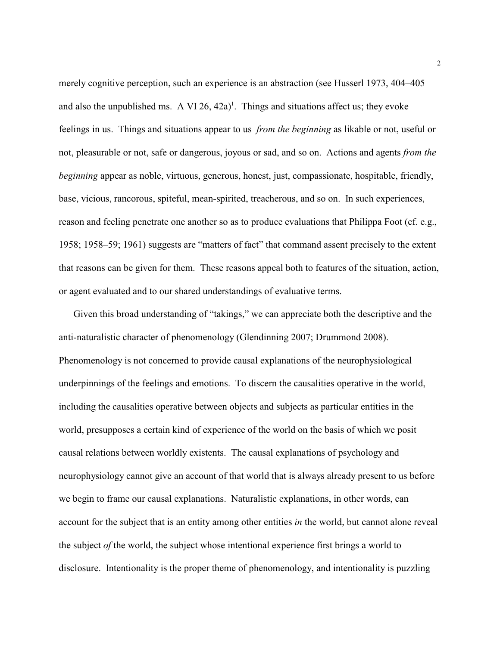merely cognitive perception, such an experience is an abstraction (see Husserl 1973, 404–405) and also the unpublished ms. A VI  $26$ ,  $42a$ <sup> $\text{l}$ </sup>. Things and situations affect us; they evoke feelings in us. Things and situations appear to us *from the beginning* as likable or not, useful or not, pleasurable or not, safe or dangerous, joyous or sad, and so on. Actions and agents *from the beginning* appear as noble, virtuous, generous, honest, just, compassionate, hospitable, friendly, base, vicious, rancorous, spiteful, mean-spirited, treacherous, and so on. In such experiences, reason and feeling penetrate one another so as to produce evaluations that Philippa Foot (cf. e.g., 1958; 1958–59; 1961) suggests are "matters of fact" that command assent precisely to the extent that reasons can be given for them. These reasons appeal both to features of the situation, action, or agent evaluated and to our shared understandings of evaluative terms.

Given this broad understanding of "takings," we can appreciate both the descriptive and the anti-naturalistic character of phenomenology (Glendinning 2007; Drummond 2008). Phenomenology is not concerned to provide causal explanations of the neurophysiological underpinnings of the feelings and emotions. To discern the causalities operative in the world, including the causalities operative between objects and subjects as particular entities in the world, presupposes a certain kind of experience of the world on the basis of which we posit causal relations between worldly existents. The causal explanations of psychology and neurophysiology cannot give an account of that world that is always already present to us before we begin to frame our causal explanations. Naturalistic explanations, in other words, can account for the subject that is an entity among other entities *in* the world, but cannot alone reveal the subject *of* the world, the subject whose intentional experience first brings a world to disclosure. Intentionality is the proper theme of phenomenology, and intentionality is puzzling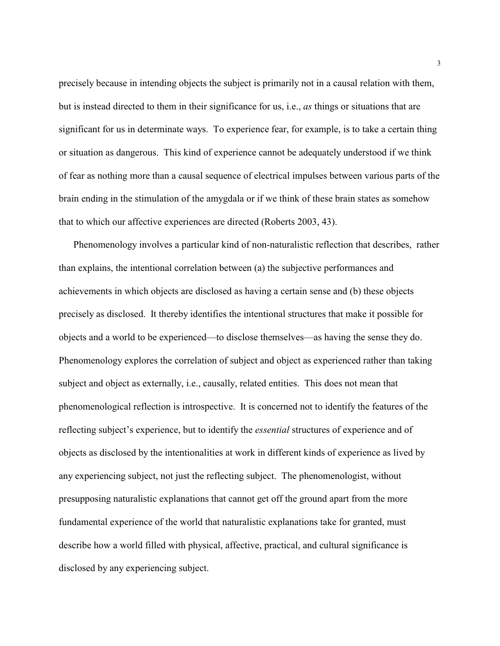precisely because in intending objects the subject is primarily not in a causal relation with them, but is instead directed to them in their significance for us, i.e., *as* things or situations that are significant for us in determinate ways. To experience fear, for example, is to take a certain thing or situation as dangerous. This kind of experience cannot be adequately understood if we think of fear as nothing more than a causal sequence of electrical impulses between various parts of the brain ending in the stimulation of the amygdala or if we think of these brain states as somehow that to which our affective experiences are directed (Roberts 2003, 43).

Phenomenology involves a particular kind of non-naturalistic reflection that describes, rather than explains, the intentional correlation between (a) the subjective performances and achievements in which objects are disclosed as having a certain sense and (b) these objects precisely as disclosed. It thereby identifies the intentional structures that make it possible for objects and a world to be experienced—to disclose themselves—as having the sense they do. Phenomenology explores the correlation of subject and object as experienced rather than taking subject and object as externally, i.e., causally, related entities. This does not mean that phenomenological reflection is introspective. It is concerned not to identify the features of the reflecting subject's experience, but to identify the *essential* structures of experience and of objects as disclosed by the intentionalities at work in different kinds of experience as lived by any experiencing subject, not just the reflecting subject. The phenomenologist, without presupposing naturalistic explanations that cannot get off the ground apart from the more fundamental experience of the world that naturalistic explanations take for granted, must describe how a world filled with physical, affective, practical, and cultural significance is disclosed by any experiencing subject.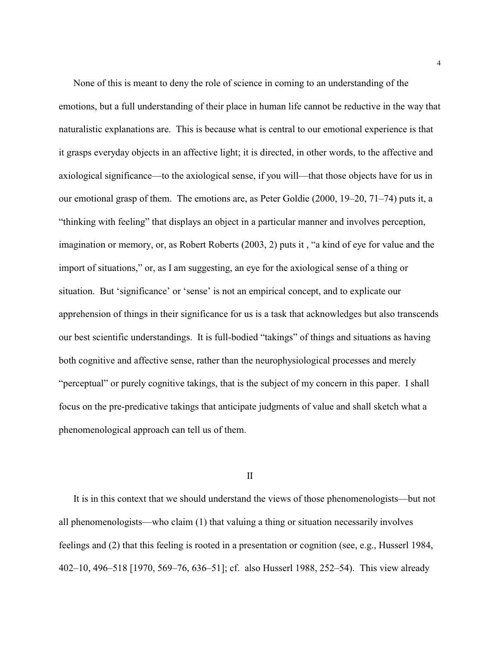None of this is meant to deny the role of science in coming to an understanding of the emotions, but a full understanding of their place in human life cannot be reductive in the way that naturalistic explanations are. This is because what is central to our emotional experience is that it grasps everyday objects in an affective light; it is directed, in other words, to the affective and axiological significance—to the axiological sense, if you will—that those objects have for us in our emotional grasp of them. The emotions are, as Peter Goldie (2000, 19–20, 71–74) puts it, a "thinking with feeling" that displays an object in a particular manner and involves perception, imagination or memory, or, as Robert Roberts (2003, 2) puts it , "a kind of eye for value and the import of situations," or, as I am suggesting, an eye for the axiological sense of a thing or situation. But 'significance' or 'sense' is not an empirical concept, and to explicate our apprehension of things in their significance for us is a task that acknowledges but also transcends our best scientific understandings. It is full-bodied "takings" of things and situations as having both cognitive and affective sense, rather than the neurophysiological processes and merely "perceptual" or purely cognitive takings, that is the subject of my concern in this paper. I shall focus on the pre-predicative takings that anticipate judgments of value and shall sketch what a phenomenological approach can tell us of them.

# II

It is in this context that we should understand the views of those phenomenologists—but not all phenomenologists—who claim (1) that valuing a thing or situation necessarily involves feelings and (2) that this feeling is rooted in a presentation or cognition (see, e.g., Husserl 1984, 402–10, 496–518 [1970, 569–76, 636–51]; cf. also Husserl 1988, 252–54). This view already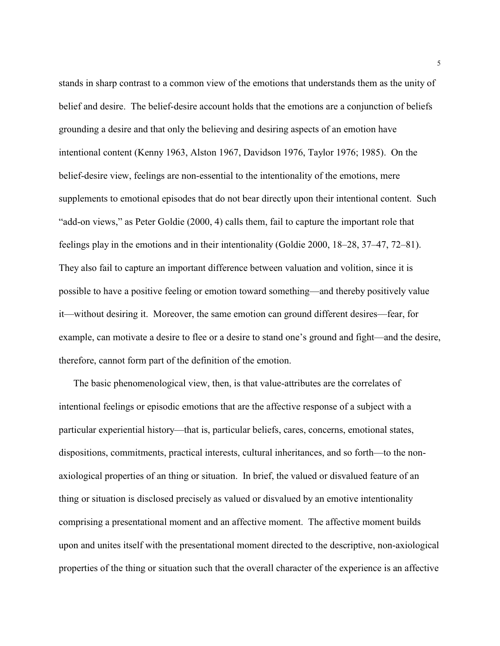stands in sharp contrast to a common view of the emotions that understands them as the unity of belief and desire. The belief-desire account holds that the emotions are a conjunction of beliefs grounding a desire and that only the believing and desiring aspects of an emotion have intentional content (Kenny 1963, Alston 1967, Davidson 1976, Taylor 1976; 1985). On the belief-desire view, feelings are non-essential to the intentionality of the emotions, mere supplements to emotional episodes that do not bear directly upon their intentional content. Such "add-on views," as Peter Goldie (2000, 4) calls them, fail to capture the important role that feelings play in the emotions and in their intentionality (Goldie 2000, 18–28, 37–47, 72–81). They also fail to capture an important difference between valuation and volition, since it is possible to have a positive feeling or emotion toward something—and thereby positively value it—without desiring it. Moreover, the same emotion can ground different desires—fear, for example, can motivate a desire to flee or a desire to stand one's ground and fight—and the desire, therefore, cannot form part of the definition of the emotion.

The basic phenomenological view, then, is that value-attributes are the correlates of intentional feelings or episodic emotions that are the affective response of a subject with a particular experiential history—that is, particular beliefs, cares, concerns, emotional states, dispositions, commitments, practical interests, cultural inheritances, and so forth—to the nonaxiological properties of an thing or situation. In brief, the valued or disvalued feature of an thing or situation is disclosed precisely as valued or disvalued by an emotive intentionality comprising a presentational moment and an affective moment. The affective moment builds upon and unites itself with the presentational moment directed to the descriptive, non-axiological properties of the thing or situation such that the overall character of the experience is an affective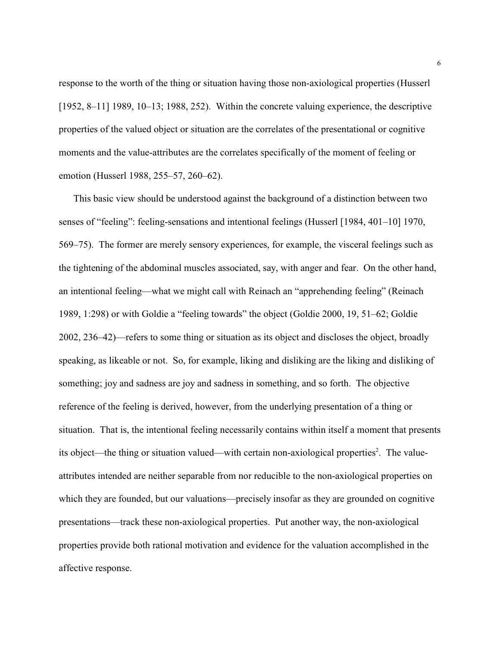response to the worth of the thing or situation having those non-axiological properties (Husserl [1952, 8–11] 1989, 10–13; 1988, 252). Within the concrete valuing experience, the descriptive properties of the valued object or situation are the correlates of the presentational or cognitive moments and the value-attributes are the correlates specifically of the moment of feeling or emotion (Husserl 1988, 255–57, 260–62).

This basic view should be understood against the background of a distinction between two senses of "feeling": feeling-sensations and intentional feelings (Husserl [1984, 401–10] 1970, 569–75). The former are merely sensory experiences, for example, the visceral feelings such as the tightening of the abdominal muscles associated, say, with anger and fear. On the other hand, an intentional feeling—what we might call with Reinach an "apprehending feeling" (Reinach 1989, 1:298) or with Goldie a "feeling towards" the object (Goldie 2000, 19, 51–62; Goldie 2002, 236–42)—refers to some thing or situation as its object and discloses the object, broadly speaking, as likeable or not. So, for example, liking and disliking are the liking and disliking of something; joy and sadness are joy and sadness in something, and so forth. The objective reference of the feeling is derived, however, from the underlying presentation of a thing or situation. That is, the intentional feeling necessarily contains within itself a moment that presents its object—the thing or situation valued—with certain non-axiological properties<sup>2</sup>. The valueattributes intended are neither separable from nor reducible to the non-axiological properties on which they are founded, but our valuations—precisely insofar as they are grounded on cognitive presentations—track these non-axiological properties. Put another way, the non-axiological properties provide both rational motivation and evidence for the valuation accomplished in the affective response.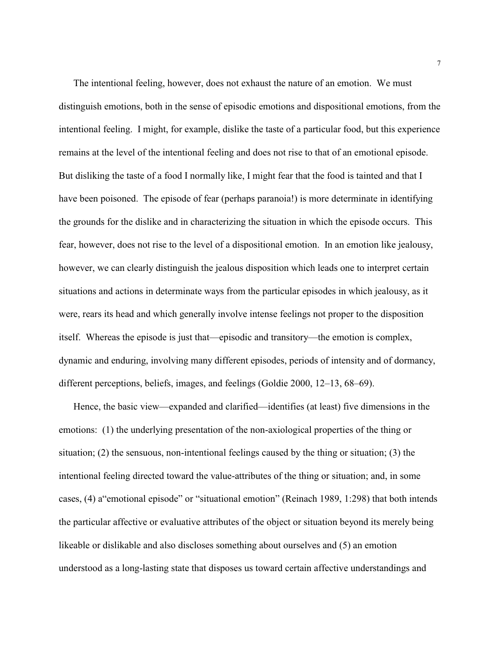The intentional feeling, however, does not exhaust the nature of an emotion. We must distinguish emotions, both in the sense of episodic emotions and dispositional emotions, from the intentional feeling. I might, for example, dislike the taste of a particular food, but this experience remains at the level of the intentional feeling and does not rise to that of an emotional episode. But disliking the taste of a food I normally like, I might fear that the food is tainted and that I have been poisoned. The episode of fear (perhaps paranoia!) is more determinate in identifying the grounds for the dislike and in characterizing the situation in which the episode occurs. This fear, however, does not rise to the level of a dispositional emotion. In an emotion like jealousy, however, we can clearly distinguish the jealous disposition which leads one to interpret certain situations and actions in determinate ways from the particular episodes in which jealousy, as it were, rears its head and which generally involve intense feelings not proper to the disposition itself. Whereas the episode is just that—episodic and transitory—the emotion is complex, dynamic and enduring, involving many different episodes, periods of intensity and of dormancy, different perceptions, beliefs, images, and feelings (Goldie 2000, 12–13, 68–69).

Hence, the basic view—expanded and clarified—identifies (at least) five dimensions in the emotions: (1) the underlying presentation of the non-axiological properties of the thing or situation; (2) the sensuous, non-intentional feelings caused by the thing or situation; (3) the intentional feeling directed toward the value-attributes of the thing or situation; and, in some cases, (4) a"emotional episode" or "situational emotion" (Reinach 1989, 1:298) that both intends the particular affective or evaluative attributes of the object or situation beyond its merely being likeable or dislikable and also discloses something about ourselves and (5) an emotion understood as a long-lasting state that disposes us toward certain affective understandings and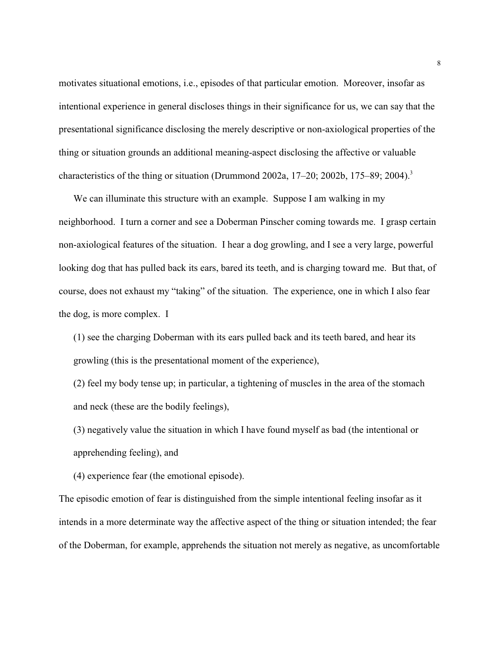motivates situational emotions, i.e., episodes of that particular emotion. Moreover, insofar as intentional experience in general discloses things in their significance for us, we can say that the presentational significance disclosing the merely descriptive or non-axiological properties of the thing or situation grounds an additional meaning-aspect disclosing the affective or valuable characteristics of the thing or situation (Drummond 2002a, 17–20; 2002b, 175–89; 2004).<sup>3</sup>

We can illuminate this structure with an example. Suppose I am walking in my neighborhood. I turn a corner and see a Doberman Pinscher coming towards me. I grasp certain non-axiological features of the situation. I hear a dog growling, and I see a very large, powerful looking dog that has pulled back its ears, bared its teeth, and is charging toward me. But that, of course, does not exhaust my "taking" of the situation. The experience, one in which I also fear the dog, is more complex. I

(1) see the charging Doberman with its ears pulled back and its teeth bared, and hear its growling (this is the presentational moment of the experience),

(2) feel my body tense up; in particular, a tightening of muscles in the area of the stomach and neck (these are the bodily feelings),

(3) negatively value the situation in which I have found myself as bad (the intentional or apprehending feeling), and

(4) experience fear (the emotional episode).

The episodic emotion of fear is distinguished from the simple intentional feeling insofar as it intends in a more determinate way the affective aspect of the thing or situation intended; the fear of the Doberman, for example, apprehends the situation not merely as negative, as uncomfortable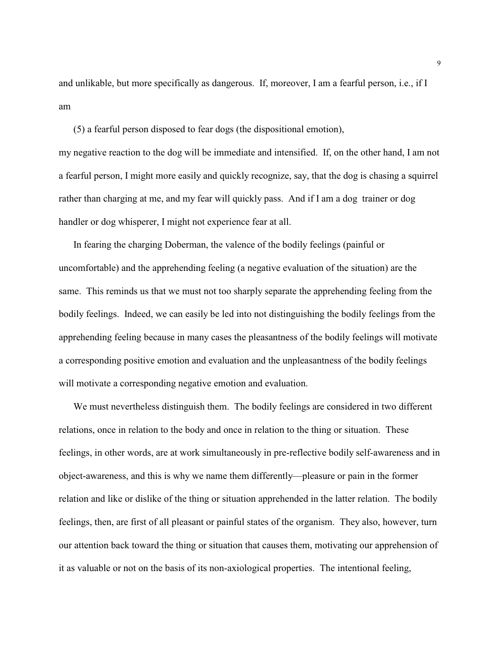and unlikable, but more specifically as dangerous. If, moreover, I am a fearful person, i.e., if I am

(5) a fearful person disposed to fear dogs (the dispositional emotion), my negative reaction to the dog will be immediate and intensified. If, on the other hand, I am not a fearful person, I might more easily and quickly recognize, say, that the dog is chasing a squirrel rather than charging at me, and my fear will quickly pass. And if I am a dog trainer or dog handler or dog whisperer, I might not experience fear at all.

In fearing the charging Doberman, the valence of the bodily feelings (painful or uncomfortable) and the apprehending feeling (a negative evaluation of the situation) are the same. This reminds us that we must not too sharply separate the apprehending feeling from the bodily feelings. Indeed, we can easily be led into not distinguishing the bodily feelings from the apprehending feeling because in many cases the pleasantness of the bodily feelings will motivate a corresponding positive emotion and evaluation and the unpleasantness of the bodily feelings will motivate a corresponding negative emotion and evaluation.

We must nevertheless distinguish them. The bodily feelings are considered in two different relations, once in relation to the body and once in relation to the thing or situation. These feelings, in other words, are at work simultaneously in pre-reflective bodily self-awareness and in object-awareness, and this is why we name them differently—pleasure or pain in the former relation and like or dislike of the thing or situation apprehended in the latter relation. The bodily feelings, then, are first of all pleasant or painful states of the organism. They also, however, turn our attention back toward the thing or situation that causes them, motivating our apprehension of it as valuable or not on the basis of its non-axiological properties. The intentional feeling,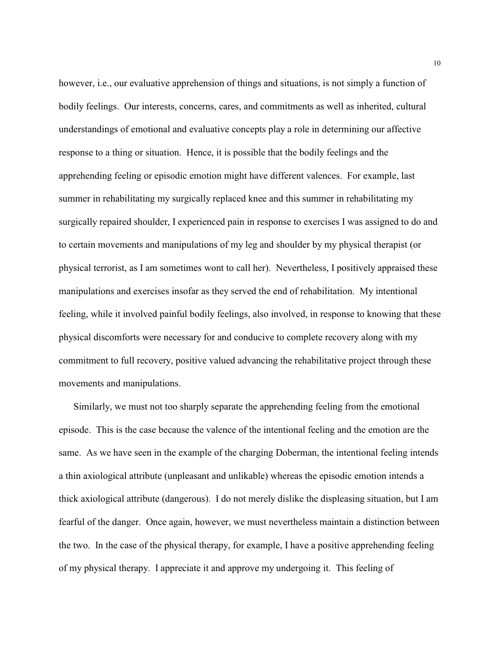however, i.e., our evaluative apprehension of things and situations, is not simply a function of bodily feelings. Our interests, concerns, cares, and commitments as well as inherited, cultural understandings of emotional and evaluative concepts play a role in determining our affective response to a thing or situation. Hence, it is possible that the bodily feelings and the apprehending feeling or episodic emotion might have different valences. For example, last summer in rehabilitating my surgically replaced knee and this summer in rehabilitating my surgically repaired shoulder, I experienced pain in response to exercises I was assigned to do and to certain movements and manipulations of my leg and shoulder by my physical therapist (or physical terrorist, as I am sometimes wont to call her). Nevertheless, I positively appraised these manipulations and exercises insofar as they served the end of rehabilitation. My intentional feeling, while it involved painful bodily feelings, also involved, in response to knowing that these physical discomforts were necessary for and conducive to complete recovery along with my commitment to full recovery, positive valued advancing the rehabilitative project through these movements and manipulations.

Similarly, we must not too sharply separate the apprehending feeling from the emotional episode. This is the case because the valence of the intentional feeling and the emotion are the same. As we have seen in the example of the charging Doberman, the intentional feeling intends a thin axiological attribute (unpleasant and unlikable) whereas the episodic emotion intends a thick axiological attribute (dangerous). I do not merely dislike the displeasing situation, but I am fearful of the danger. Once again, however, we must nevertheless maintain a distinction between the two. In the case of the physical therapy, for example, I have a positive apprehending feeling of my physical therapy. I appreciate it and approve my undergoing it. This feeling of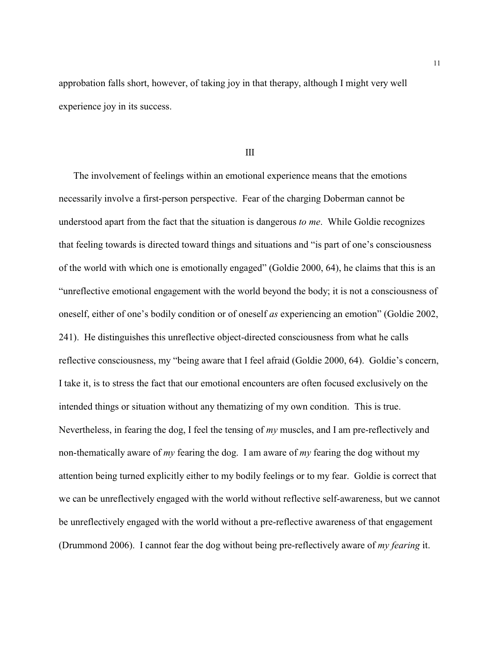approbation falls short, however, of taking joy in that therapy, although I might very well experience joy in its success.

### III

The involvement of feelings within an emotional experience means that the emotions necessarily involve a first-person perspective. Fear of the charging Doberman cannot be understood apart from the fact that the situation is dangerous *to me*. While Goldie recognizes that feeling towards is directed toward things and situations and "is part of one's consciousness of the world with which one is emotionally engaged" (Goldie 2000, 64), he claims that this is an "unreflective emotional engagement with the world beyond the body; it is not a consciousness of oneself, either of one's bodily condition or of oneself *as* experiencing an emotion" (Goldie 2002, 241). He distinguishes this unreflective object-directed consciousness from what he calls reflective consciousness, my "being aware that I feel afraid (Goldie 2000, 64). Goldie's concern, I take it, is to stress the fact that our emotional encounters are often focused exclusively on the intended things or situation without any thematizing of my own condition. This is true. Nevertheless, in fearing the dog, I feel the tensing of *my* muscles, and I am pre-reflectively and non-thematically aware of *my* fearing the dog. I am aware of *my* fearing the dog without my attention being turned explicitly either to my bodily feelings or to my fear. Goldie is correct that we can be unreflectively engaged with the world without reflective self-awareness, but we cannot be unreflectively engaged with the world without a pre-reflective awareness of that engagement (Drummond 2006). I cannot fear the dog without being pre-reflectively aware of *my fearing* it.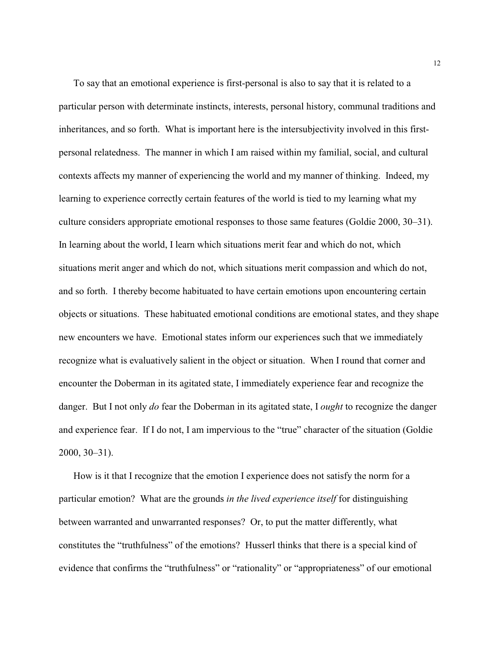To say that an emotional experience is first-personal is also to say that it is related to a particular person with determinate instincts, interests, personal history, communal traditions and inheritances, and so forth. What is important here is the intersubjectivity involved in this firstpersonal relatedness. The manner in which I am raised within my familial, social, and cultural contexts affects my manner of experiencing the world and my manner of thinking. Indeed, my learning to experience correctly certain features of the world is tied to my learning what my culture considers appropriate emotional responses to those same features (Goldie 2000, 30–31). In learning about the world, I learn which situations merit fear and which do not, which situations merit anger and which do not, which situations merit compassion and which do not, and so forth. I thereby become habituated to have certain emotions upon encountering certain objects or situations. These habituated emotional conditions are emotional states, and they shape new encounters we have. Emotional states inform our experiences such that we immediately recognize what is evaluatively salient in the object or situation. When I round that corner and encounter the Doberman in its agitated state, I immediately experience fear and recognize the danger. But I not only *do* fear the Doberman in its agitated state, I *ought* to recognize the danger and experience fear. If I do not, I am impervious to the "true" character of the situation (Goldie 2000, 30–31).

How is it that I recognize that the emotion I experience does not satisfy the norm for a particular emotion? What are the grounds *in the lived experience itself* for distinguishing between warranted and unwarranted responses? Or, to put the matter differently, what constitutes the "truthfulness" of the emotions? Husserl thinks that there is a special kind of evidence that confirms the "truthfulness" or "rationality" or "appropriateness" of our emotional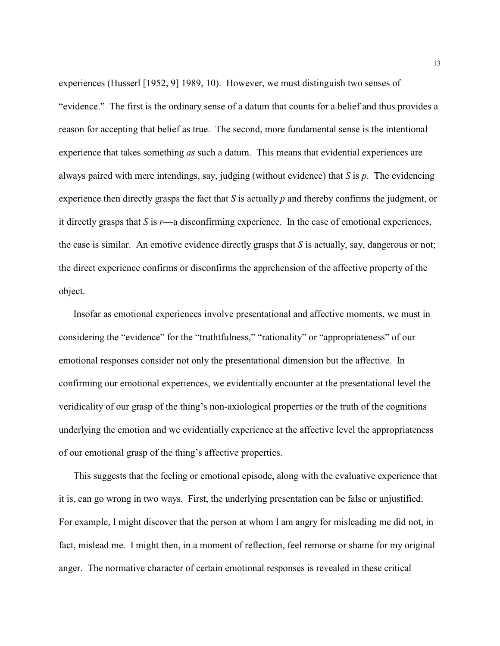experiences (Husserl [1952, 9] 1989, 10). However, we must distinguish two senses of "evidence." The first is the ordinary sense of a datum that counts for a belief and thus provides a reason for accepting that belief as true. The second, more fundamental sense is the intentional experience that takes something *as* such a datum. This means that evidential experiences are always paired with mere intendings, say, judging (without evidence) that *S* is *p*. The evidencing experience then directly grasps the fact that *S* is actually *p* and thereby confirms the judgment, or it directly grasps that *S* is *r*—a disconfirming experience. In the case of emotional experiences, the case is similar. An emotive evidence directly grasps that *S* is actually, say, dangerous or not; the direct experience confirms or disconfirms the apprehension of the affective property of the object.

Insofar as emotional experiences involve presentational and affective moments, we must in considering the "evidence" for the "truthtfulness," "rationality" or "appropriateness" of our emotional responses consider not only the presentational dimension but the affective. In confirming our emotional experiences, we evidentially encounter at the presentational level the veridicality of our grasp of the thing's non-axiological properties or the truth of the cognitions underlying the emotion and we evidentially experience at the affective level the appropriateness of our emotional grasp of the thing's affective properties.

This suggests that the feeling or emotional episode, along with the evaluative experience that it is, can go wrong in two ways. First, the underlying presentation can be false or unjustified. For example, I might discover that the person at whom I am angry for misleading me did not, in fact, mislead me. I might then, in a moment of reflection, feel remorse or shame for my original anger. The normative character of certain emotional responses is revealed in these critical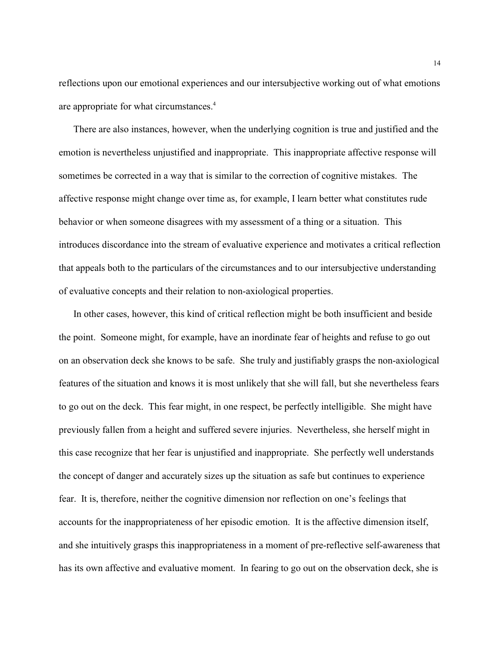reflections upon our emotional experiences and our intersubjective working out of what emotions are appropriate for what circumstances.<sup>4</sup>

There are also instances, however, when the underlying cognition is true and justified and the emotion is nevertheless unjustified and inappropriate. This inappropriate affective response will sometimes be corrected in a way that is similar to the correction of cognitive mistakes. The affective response might change over time as, for example, I learn better what constitutes rude behavior or when someone disagrees with my assessment of a thing or a situation. This introduces discordance into the stream of evaluative experience and motivates a critical reflection that appeals both to the particulars of the circumstances and to our intersubjective understanding of evaluative concepts and their relation to non-axiological properties.

In other cases, however, this kind of critical reflection might be both insufficient and beside the point. Someone might, for example, have an inordinate fear of heights and refuse to go out on an observation deck she knows to be safe. She truly and justifiably grasps the non-axiological features of the situation and knows it is most unlikely that she will fall, but she nevertheless fears to go out on the deck. This fear might, in one respect, be perfectly intelligible. She might have previously fallen from a height and suffered severe injuries. Nevertheless, she herself might in this case recognize that her fear is unjustified and inappropriate. She perfectly well understands the concept of danger and accurately sizes up the situation as safe but continues to experience fear. It is, therefore, neither the cognitive dimension nor reflection on one's feelings that accounts for the inappropriateness of her episodic emotion. It is the affective dimension itself, and she intuitively grasps this inappropriateness in a moment of pre-reflective self-awareness that has its own affective and evaluative moment. In fearing to go out on the observation deck, she is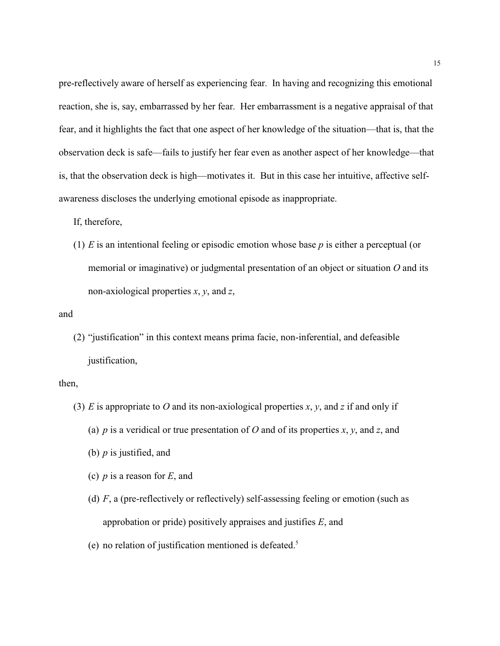pre-reflectively aware of herself as experiencing fear. In having and recognizing this emotional reaction, she is, say, embarrassed by her fear. Her embarrassment is a negative appraisal of that fear, and it highlights the fact that one aspect of her knowledge of the situation—that is, that the observation deck is safe—fails to justify her fear even as another aspect of her knowledge—that is, that the observation deck is high—motivates it. But in this case her intuitive, affective selfawareness discloses the underlying emotional episode as inappropriate.

If, therefore,

(1) *E* is an intentional feeling or episodic emotion whose base *p* is either a perceptual (or memorial or imaginative) or judgmental presentation of an object or situation *O* and its non-axiological properties *x*, *y*, and *z*,

and

(2) "justification" in this context means prima facie, non-inferential, and defeasible justification,

then,

- (3)  $E$  is appropriate to  $O$  and its non-axiological properties  $x$ ,  $y$ , and  $z$  if and only if
	- (a) *p* is a veridical or true presentation of *O* and of its properties *x*, *y*, and *z*, and
	- (b) *p* is justified, and
	- (c) *p* is a reason for *E*, and
	- (d) *F*, a (pre-reflectively or reflectively) self-assessing feeling or emotion (such as approbation or pride) positively appraises and justifies *E*, and
	- (e) no relation of justification mentioned is defeated.<sup>5</sup>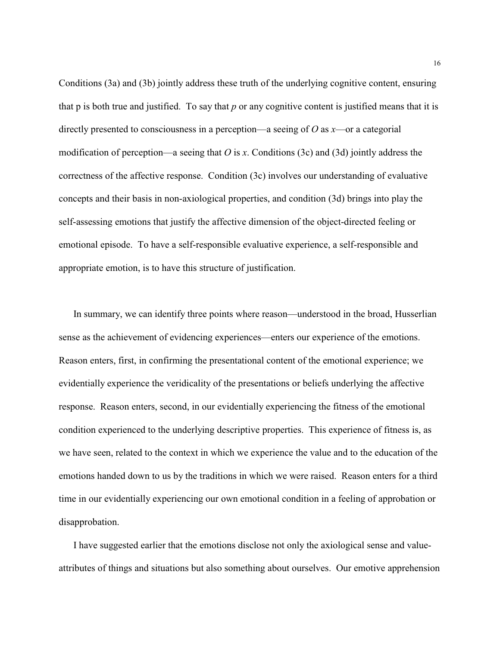Conditions (3a) and (3b) jointly address these truth of the underlying cognitive content, ensuring that p is both true and justified. To say that *p* or any cognitive content is justified means that it is directly presented to consciousness in a perception—a seeing of *O* as *x*—or a categorial modification of perception—a seeing that *O* is *x*. Conditions (3c) and (3d) jointly address the correctness of the affective response. Condition (3c) involves our understanding of evaluative concepts and their basis in non-axiological properties, and condition (3d) brings into play the self-assessing emotions that justify the affective dimension of the object-directed feeling or emotional episode. To have a self-responsible evaluative experience, a self-responsible and appropriate emotion, is to have this structure of justification.

In summary, we can identify three points where reason—understood in the broad, Husserlian sense as the achievement of evidencing experiences—enters our experience of the emotions. Reason enters, first, in confirming the presentational content of the emotional experience; we evidentially experience the veridicality of the presentations or beliefs underlying the affective response. Reason enters, second, in our evidentially experiencing the fitness of the emotional condition experienced to the underlying descriptive properties. This experience of fitness is, as we have seen, related to the context in which we experience the value and to the education of the emotions handed down to us by the traditions in which we were raised. Reason enters for a third time in our evidentially experiencing our own emotional condition in a feeling of approbation or disapprobation.

I have suggested earlier that the emotions disclose not only the axiological sense and valueattributes of things and situations but also something about ourselves. Our emotive apprehension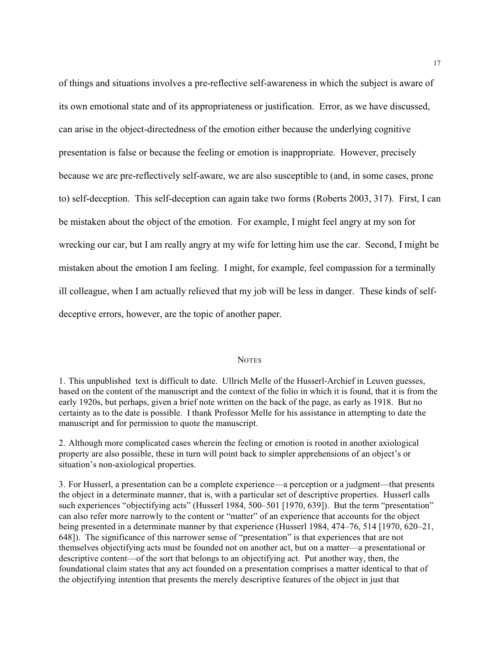of things and situations involves a pre-reflective self-awareness in which the subject is aware of its own emotional state and of its appropriateness or justification. Error, as we have discussed, can arise in the object-directedness of the emotion either because the underlying cognitive presentation is false or because the feeling or emotion is inappropriate. However, precisely because we are pre-reflectively self-aware, we are also susceptible to (and, in some cases, prone to) self-deception. This self-deception can again take two forms (Roberts 2003, 317). First, I can be mistaken about the object of the emotion. For example, I might feel angry at my son for wrecking our car, but I am really angry at my wife for letting him use the car. Second, I might be mistaken about the emotion I am feeling. I might, for example, feel compassion for a terminally ill colleague, when I am actually relieved that my job will be less in danger. These kinds of selfdeceptive errors, however, are the topic of another paper.

#### **NOTES**

1. This unpublished text is difficult to date. Ullrich Melle of the Husserl-Archief in Leuven guesses, based on the content of the manuscript and the context of the folio in which it is found, that it is from the early 1920s, but perhaps, given a brief note written on the back of the page, as early as 1918. But no certainty as to the date is possible. I thank Professor Melle for his assistance in attempting to date the manuscript and for permission to quote the manuscript.

2. Although more complicated cases wherein the feeling or emotion is rooted in another axiological property are also possible, these in turn will point back to simpler apprehensions of an object's or situation's non-axiological properties.

3. For Husserl, a presentation can be a complete experience—a perception or a judgment—that presents the object in a determinate manner, that is, with a particular set of descriptive properties. Husserl calls such experiences "objectifying acts" (Husserl 1984, 500–501 [1970, 639]). But the term "presentation" can also refer more narrowly to the content or "matter" of an experience that accounts for the object being presented in a determinate manner by that experience (Husserl 1984, 474–76, 514 [1970, 620–21, 648]). The significance of this narrower sense of "presentation" is that experiences that are not themselves objectifying acts must be founded not on another act, but on a matter—a presentational or descriptive content—of the sort that belongs to an objectifying act. Put another way, then, the foundational claim states that any act founded on a presentation comprises a matter identical to that of the objectifying intention that presents the merely descriptive features of the object in just that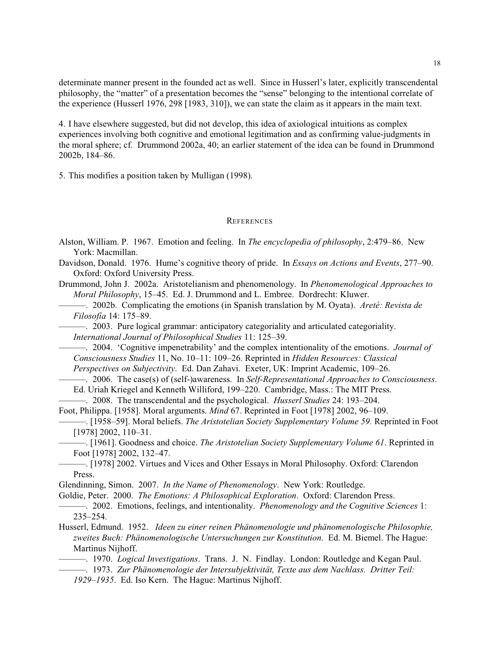determinate manner present in the founded act as well. Since in Husserl's later, explicitly transcendental philosophy, the "matter" of a presentation becomes the "sense" belonging to the intentional correlate of the experience (Husserl 1976, 298 [1983, 310]), we can state the claim as it appears in the main text.

4. I have elsewhere suggested, but did not develop, this idea of axiological intuitions as complex experiences involving both cognitive and emotional legitimation and as confirming value-judgments in the moral sphere; cf. Drummond 2002a, 40; an earlier statement of the idea can be found in Drummond 2002b, 184–86.

5. This modifies a position taken by Mulligan (1998).

### **REFERENCES**

- Alston, William. P. 1967. Emotion and feeling. In *The encyclopedia of philosophy*, 2:479–86. New York: Macmillan.
- Davidson, Donald. 1976. Hume's cognitive theory of pride. In *Essays on Actions and Events*, 277–90. Oxford: Oxford University Press.

Drummond, John J. 2002a. Aristotelianism and phenomenology. In *Phenomenological Approaches to Moral Philosophy*, 15–45. Ed. J. Drummond and L. Embree. Dordrecht: Kluwer.

———. 2002b. Complicating the emotions (in Spanish translation by M. Oyata). *Areté: Revista de Filosofía* 14: 175–89.

———. 2003. Pure logical grammar: anticipatory categoriality and articulated categoriality. *International Journal of Philosophical Studies* 11: 125–39.

———. 2004. 'Cognitive impenetrability' and the complex intentionality of the emotions. *Journal of Consciousness Studies* 11, No. 10–11: 109–26. Reprinted in *Hidden Resources: Classical Perspectives on Subjectivity*. Ed. Dan Zahavi. Exeter, UK: Imprint Academic, 109–26.

———. 2006. The case(s) of (self-)awareness. In *Self-Representational Approaches to Consciousness*.

Ed. Uriah Kriegel and Kenneth Williford, 199–220. Cambridge, Mass.: The MIT Press.

- ———. 2008. The transcendental and the psychological. *Husserl Studies* 24: 193–204.
- Foot, Philippa. [1958]. Moral arguments. *Mind* 67. Reprinted in Foot [1978] 2002, 96–109.
- ———. [1958–59]. Moral beliefs. *The Aristotelian Society Supplementary Volume 59.* Reprinted in Foot [1978] 2002, 110–31.
	- ———. [1961]. Goodness and choice. *The Aristotelian Society Supplementary Volume 61*. Reprinted in Foot [1978] 2002, 132–47.
- ———. [1978] 2002. Virtues and Vices and Other Essays in Moral Philosophy. Oxford: Clarendon Press.

Glendinning, Simon. 2007. *In the Name of Phenomenology*. New York: Routledge.

- Goldie, Peter. 2000. *The Emotions: A Philosophical Exploration*. Oxford: Clarendon Press.
- ———. 2002. Emotions, feelings, and intentionality. *Phenomenology and the Cognitive Sciences* 1: 235–254.
- Husserl, Edmund. 1952. *Ideen zu einer reinen Phänomenologie und phänomenologische Philosophie, zweites Buch: Phänomenologische Untersuchungen zur Konstitution*. Ed. M. Biemel. The Hague: Martinus Nijhoff.
- ———. 1970. *Logical Investigations*. Trans. J. N. Findlay. London: Routledge and Kegan Paul. ———. 1973. *Zur Phänomenologie der Intersubjektivität, Texte aus dem Nachlass. Dritter Teil:*
	- *1929–1935*. Ed. Iso Kern. The Hague: Martinus Nijhoff.